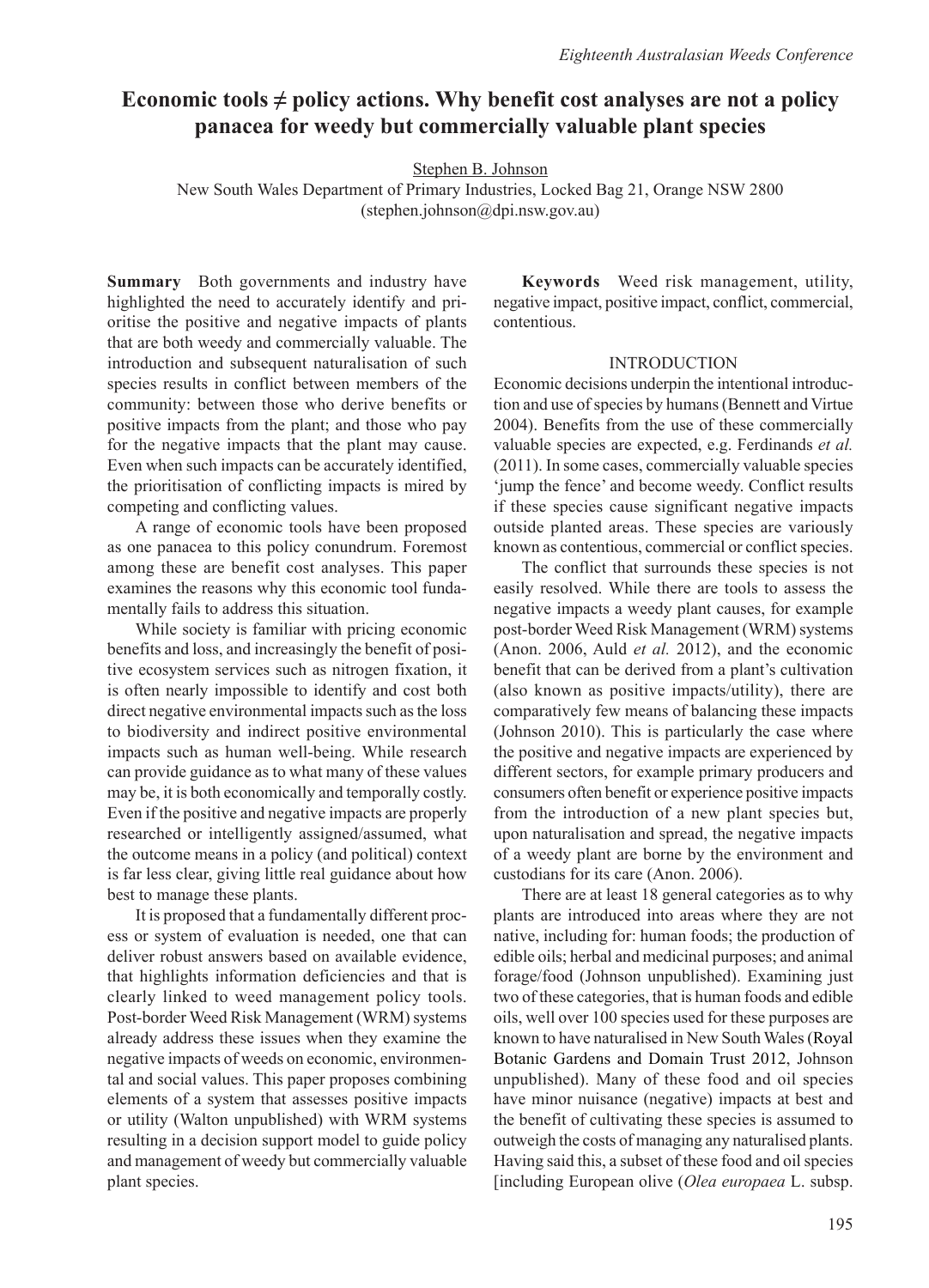# **Economic tools**  $\neq$  **policy actions. Why benefit cost analyses are not a policy panacea for weedy but commercially valuable plant species**

Stephen B. Johnson

New South Wales Department of Primary Industries, Locked Bag 21, Orange NSW 2800 (stephen.johnson@dpi.nsw.gov.au)

**Summary** Both governments and industry have highlighted the need to accurately identify and prioritise the positive and negative impacts of plants that are both weedy and commercially valuable. The introduction and subsequent naturalisation of such species results in conflict between members of the community: between those who derive benefits or positive impacts from the plant; and those who pay for the negative impacts that the plant may cause. Even when such impacts can be accurately identified, the prioritisation of conflicting impacts is mired by competing and conflicting values.

A range of economic tools have been proposed as one panacea to this policy conundrum. Foremost among these are benefit cost analyses. This paper examines the reasons why this economic tool fundamentally fails to address this situation.

While society is familiar with pricing economic benefits and loss, and increasingly the benefit of positive ecosystem services such as nitrogen fixation, it is often nearly impossible to identify and cost both direct negative environmental impacts such as the loss to biodiversity and indirect positive environmental impacts such as human well-being. While research can provide guidance as to what many of these values may be, it is both economically and temporally costly. Even if the positive and negative impacts are properly researched or intelligently assigned/assumed, what the outcome means in a policy (and political) context is far less clear, giving little real guidance about how best to manage these plants.

It is proposed that a fundamentally different process or system of evaluation is needed, one that can deliver robust answers based on available evidence, that highlights information deficiencies and that is clearly linked to weed management policy tools. Post-border Weed Risk Management (WRM) systems already address these issues when they examine the negative impacts of weeds on economic, environmental and social values. This paper proposes combining elements of a system that assesses positive impacts or utility (Walton unpublished) with WRM systems resulting in a decision support model to guide policy and management of weedy but commercially valuable plant species.

**Keywords** Weed risk management, utility, negative impact, positive impact, conflict, commercial, contentious.

## INTRODUCTION

Economic decisions underpin the intentional introduction and use of species by humans (Bennett and Virtue 2004). Benefits from the use of these commercially valuable species are expected, e.g. Ferdinands *et al.* (2011). In some cases, commercially valuable species 'jump the fence' and become weedy. Conflict results if these species cause significant negative impacts outside planted areas. These species are variously known as contentious, commercial or conflict species.

The conflict that surrounds these species is not easily resolved. While there are tools to assess the negative impacts a weedy plant causes, for example post-border Weed Risk Management (WRM) systems (Anon. 2006, Auld *et al.* 2012), and the economic benefit that can be derived from a plant's cultivation (also known as positive impacts/utility), there are comparatively few means of balancing these impacts (Johnson 2010). This is particularly the case where the positive and negative impacts are experienced by different sectors, for example primary producers and consumers often benefit or experience positive impacts from the introduction of a new plant species but, upon naturalisation and spread, the negative impacts of a weedy plant are borne by the environment and custodians for its care (Anon. 2006).

There are at least 18 general categories as to why plants are introduced into areas where they are not native, including for: human foods; the production of edible oils; herbal and medicinal purposes; and animal forage/food (Johnson unpublished). Examining just two of these categories, that is human foods and edible oils, well over 100 species used for these purposes are known to have naturalised in New South Wales (Royal Botanic Gardens and Domain Trust 2012, Johnson unpublished). Many of these food and oil species have minor nuisance (negative) impacts at best and the benefit of cultivating these species is assumed to outweigh the costs of managing any naturalised plants. Having said this, a subset of these food and oil species [including European olive (*Olea europaea* L. subsp.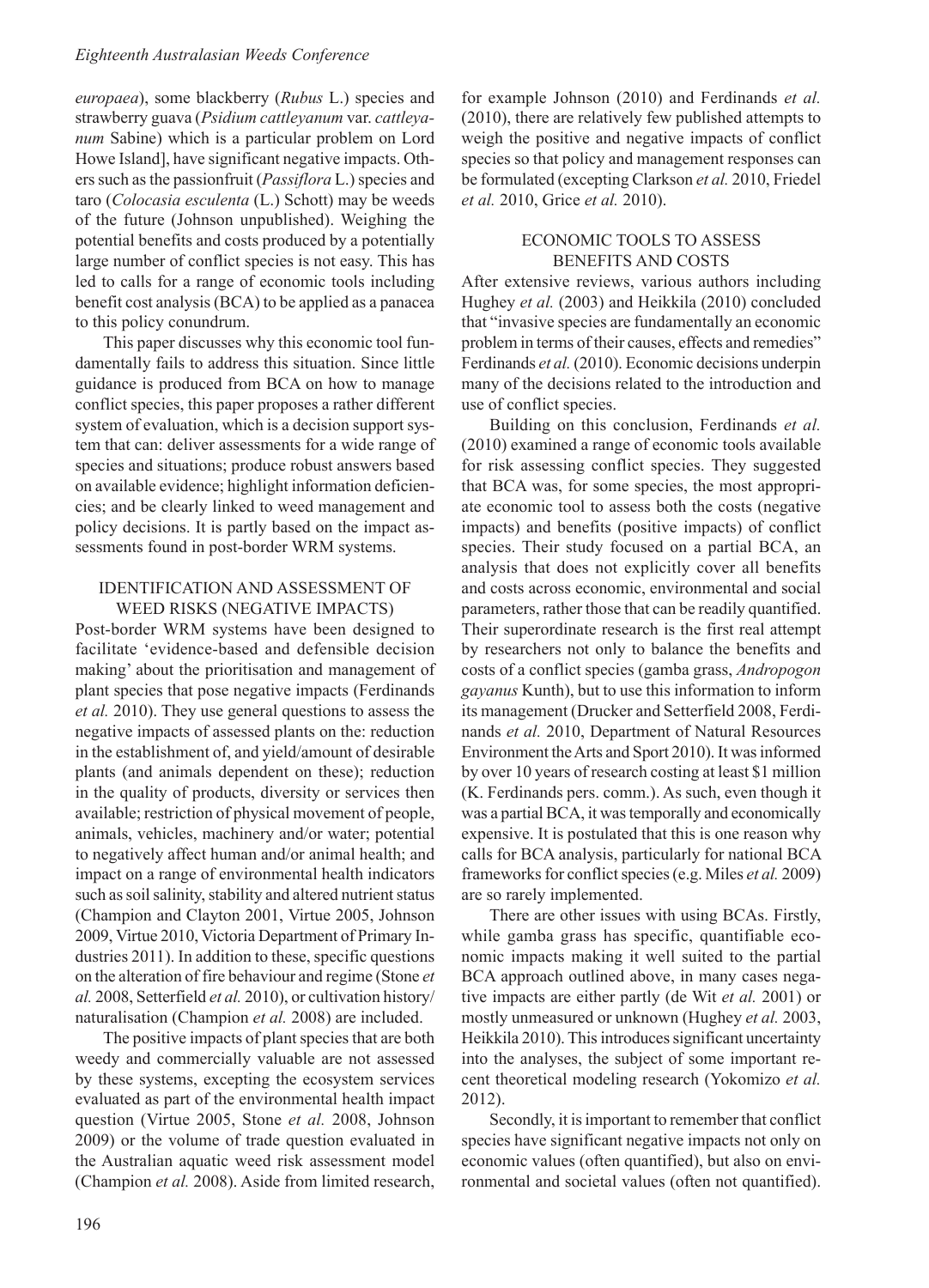*europaea*), some blackberry (*Rubus* L.) species and strawberry guava (*Psidium cattleyanum* var. *cattleyanum* Sabine) which is a particular problem on Lord Howe Island], have significant negative impacts. Others such as the passionfruit (*Passiflora* L.) species and taro (*Colocasia esculenta* (L.) Schott) may be weeds of the future (Johnson unpublished). Weighing the potential benefits and costs produced by a potentially large number of conflict species is not easy. This has led to calls for a range of economic tools including benefit cost analysis (BCA) to be applied as a panacea to this policy conundrum.

This paper discusses why this economic tool fundamentally fails to address this situation. Since little guidance is produced from BCA on how to manage conflict species, this paper proposes a rather different system of evaluation, which is a decision support system that can: deliver assessments for a wide range of species and situations; produce robust answers based on available evidence; highlight information deficiencies; and be clearly linked to weed management and policy decisions. It is partly based on the impact assessments found in post-border WRM systems.

## IDENTIFICATION AND ASSESSMENT OF WEED RISKS (NEGATIVE IMPACTS)

Post-border WRM systems have been designed to facilitate 'evidence-based and defensible decision making' about the prioritisation and management of plant species that pose negative impacts (Ferdinands *et al.* 2010). They use general questions to assess the negative impacts of assessed plants on the: reduction in the establishment of, and yield/amount of desirable plants (and animals dependent on these); reduction in the quality of products, diversity or services then available; restriction of physical movement of people, animals, vehicles, machinery and/or water; potential to negatively affect human and/or animal health; and impact on a range of environmental health indicators such as soil salinity, stability and altered nutrient status (Champion and Clayton 2001, Virtue 2005, Johnson 2009, Virtue 2010, Victoria Department of Primary Industries 2011). In addition to these, specific questions on the alteration of fire behaviour and regime (Stone *et al.* 2008, Setterfield *et al.* 2010), or cultivation history/ naturalisation (Champion *et al.* 2008) are included.

The positive impacts of plant species that are both weedy and commercially valuable are not assessed by these systems, excepting the ecosystem services evaluated as part of the environmental health impact question (Virtue 2005, Stone *et al.* 2008, Johnson 2009) or the volume of trade question evaluated in the Australian aquatic weed risk assessment model (Champion *et al.* 2008). Aside from limited research, for example Johnson (2010) and Ferdinands *et al.* (2010), there are relatively few published attempts to weigh the positive and negative impacts of conflict species so that policy and management responses can be formulated (excepting Clarkson *et al.* 2010, Friedel *et al.* 2010, Grice *et al.* 2010).

## ECONOMIC TOOLS TO ASSESS BENEFITS AND COSTS

After extensive reviews, various authors including Hughey *et al.* (2003) and Heikkila (2010) concluded that "invasive species are fundamentally an economic problem in terms of their causes, effects and remedies" Ferdinands *et al.* (2010). Economic decisions underpin many of the decisions related to the introduction and use of conflict species.

Building on this conclusion, Ferdinands *et al.* (2010) examined a range of economic tools available for risk assessing conflict species. They suggested that BCA was, for some species, the most appropriate economic tool to assess both the costs (negative impacts) and benefits (positive impacts) of conflict species. Their study focused on a partial BCA, an analysis that does not explicitly cover all benefits and costs across economic, environmental and social parameters, rather those that can be readily quantified. Their superordinate research is the first real attempt by researchers not only to balance the benefits and costs of a conflict species (gamba grass, *Andropogon gayanus* Kunth), but to use this information to inform its management (Drucker and Setterfield 2008, Ferdinands *et al.* 2010, Department of Natural Resources Environment the Arts and Sport 2010). It was informed by over 10 years of research costing at least \$1 million (K. Ferdinands pers. comm.). As such, even though it was a partial BCA, it was temporally and economically expensive. It is postulated that this is one reason why calls for BCA analysis, particularly for national BCA frameworks for conflict species (e.g. Miles *et al.* 2009) are so rarely implemented.

There are other issues with using BCAs. Firstly, while gamba grass has specific, quantifiable economic impacts making it well suited to the partial BCA approach outlined above, in many cases negative impacts are either partly (de Wit *et al.* 2001) or mostly unmeasured or unknown (Hughey *et al.* 2003, Heikkila 2010). This introduces significant uncertainty into the analyses, the subject of some important recent theoretical modeling research (Yokomizo *et al.* 2012).

Secondly, it is important to remember that conflict species have significant negative impacts not only on economic values (often quantified), but also on environmental and societal values (often not quantified).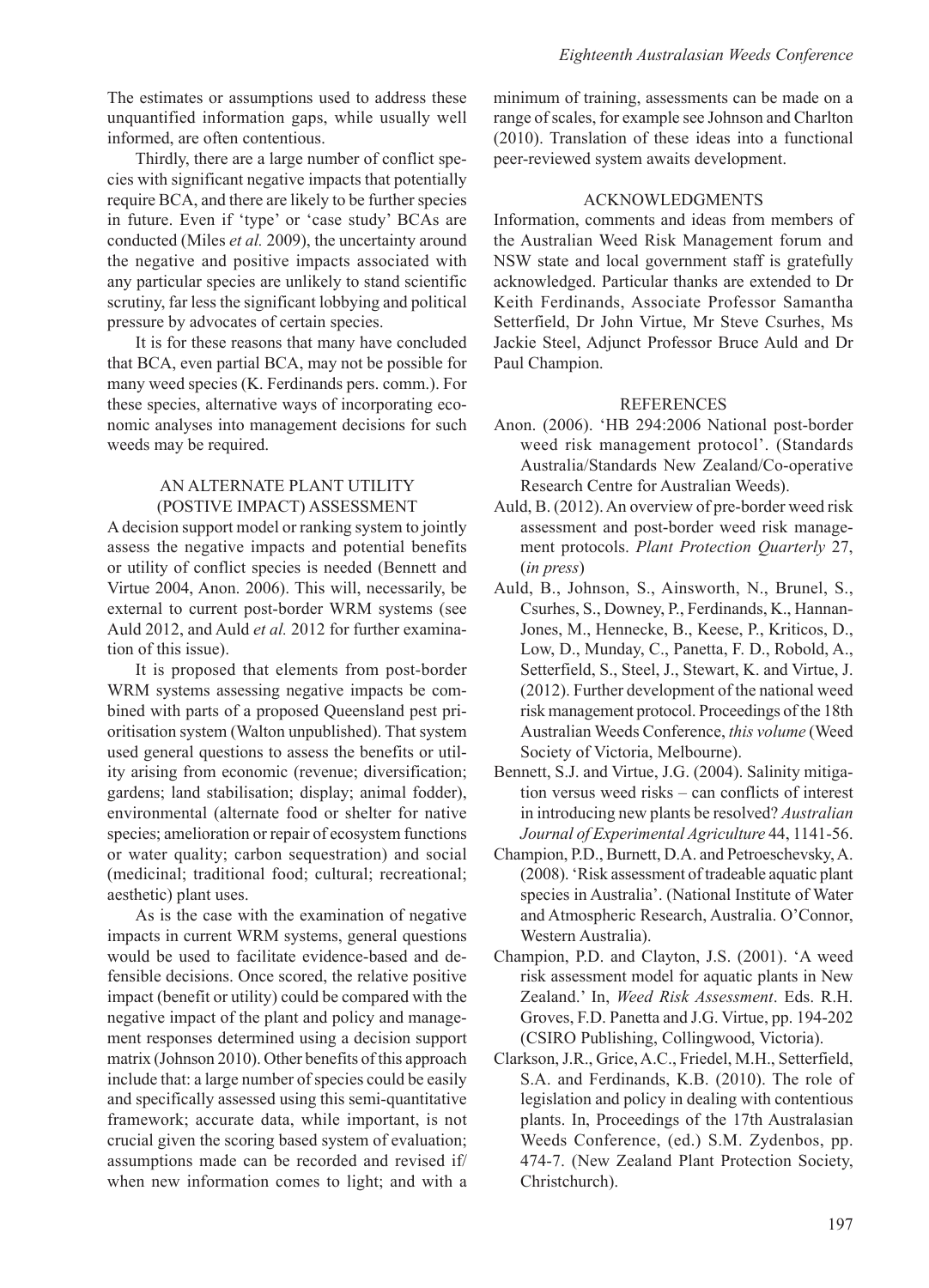The estimates or assumptions used to address these unquantified information gaps, while usually well informed, are often contentious.

Thirdly, there are a large number of conflict species with significant negative impacts that potentially require BCA, and there are likely to be further species in future. Even if 'type' or 'case study' BCAs are conducted (Miles *et al.* 2009), the uncertainty around the negative and positive impacts associated with any particular species are unlikely to stand scientific scrutiny, far less the significant lobbying and political pressure by advocates of certain species.

It is for these reasons that many have concluded that BCA, even partial BCA, may not be possible for many weed species (K. Ferdinands pers. comm.). For these species, alternative ways of incorporating economic analyses into management decisions for such weeds may be required.

## AN ALTERNATE PLANT UTILITY (POSTIVE IMPACT) ASSESSMENT

A decision support model or ranking system to jointly assess the negative impacts and potential benefits or utility of conflict species is needed (Bennett and Virtue 2004, Anon. 2006). This will, necessarily, be external to current post-border WRM systems (see Auld 2012, and Auld *et al.* 2012 for further examination of this issue).

It is proposed that elements from post-border WRM systems assessing negative impacts be combined with parts of a proposed Queensland pest prioritisation system (Walton unpublished). That system used general questions to assess the benefits or utility arising from economic (revenue; diversification; gardens; land stabilisation; display; animal fodder), environmental (alternate food or shelter for native species; amelioration or repair of ecosystem functions or water quality; carbon sequestration) and social (medicinal; traditional food; cultural; recreational; aesthetic) plant uses.

As is the case with the examination of negative impacts in current WRM systems, general questions would be used to facilitate evidence-based and defensible decisions. Once scored, the relative positive impact (benefit or utility) could be compared with the negative impact of the plant and policy and management responses determined using a decision support matrix (Johnson 2010). Other benefits of this approach include that: a large number of species could be easily and specifically assessed using this semi-quantitative framework; accurate data, while important, is not crucial given the scoring based system of evaluation; assumptions made can be recorded and revised if/ when new information comes to light; and with a

minimum of training, assessments can be made on a range of scales, for example see Johnson and Charlton (2010). Translation of these ideas into a functional peer-reviewed system awaits development.

## ACKNOWLEDGMENTS

Information, comments and ideas from members of the Australian Weed Risk Management forum and NSW state and local government staff is gratefully acknowledged. Particular thanks are extended to Dr Keith Ferdinands, Associate Professor Samantha Setterfield, Dr John Virtue, Mr Steve Csurhes, Ms Jackie Steel, Adjunct Professor Bruce Auld and Dr Paul Champion.

## REFERENCES

- Anon. (2006). 'HB 294:2006 National post-border weed risk management protocol'. (Standards Australia/Standards New Zealand/Co-operative Research Centre for Australian Weeds).
- Auld, B. (2012). An overview of pre-border weed risk assessment and post-border weed risk management protocols. *Plant Protection Quarterly* 27, (*in press*)
- Auld, B., Johnson, S., Ainsworth, N., Brunel, S., Csurhes, S., Downey, P., Ferdinands, K., Hannan-Jones, M., Hennecke, B., Keese, P., Kriticos, D., Low, D., Munday, C., Panetta, F. D., Robold, A., Setterfield, S., Steel, J., Stewart, K. and Virtue, J. (2012). Further development of the national weed risk management protocol. Proceedings of the 18th Australian Weeds Conference, *this volume* (Weed Society of Victoria, Melbourne).
- Bennett, S.J. and Virtue, J.G. (2004). Salinity mitigation versus weed risks – can conflicts of interest in introducing new plants be resolved? *Australian Journal of Experimental Agriculture* 44, 1141-56.
- Champion, P.D., Burnett, D.A. and Petroeschevsky, A. (2008). 'Risk assessment of tradeable aquatic plant species in Australia'. (National Institute of Water and Atmospheric Research, Australia. O'Connor, Western Australia).
- Champion, P.D. and Clayton, J.S. (2001). 'A weed risk assessment model for aquatic plants in New Zealand.' In, *Weed Risk Assessment*. Eds. R.H. Groves, F.D. Panetta and J.G. Virtue, pp. 194-202 (CSIRO Publishing, Collingwood, Victoria).
- Clarkson, J.R., Grice, A.C., Friedel, M.H., Setterfield, S.A. and Ferdinands, K.B. (2010). The role of legislation and policy in dealing with contentious plants. In, Proceedings of the 17th Australasian Weeds Conference, (ed.) S.M. Zydenbos, pp. 474-7. (New Zealand Plant Protection Society, Christchurch).